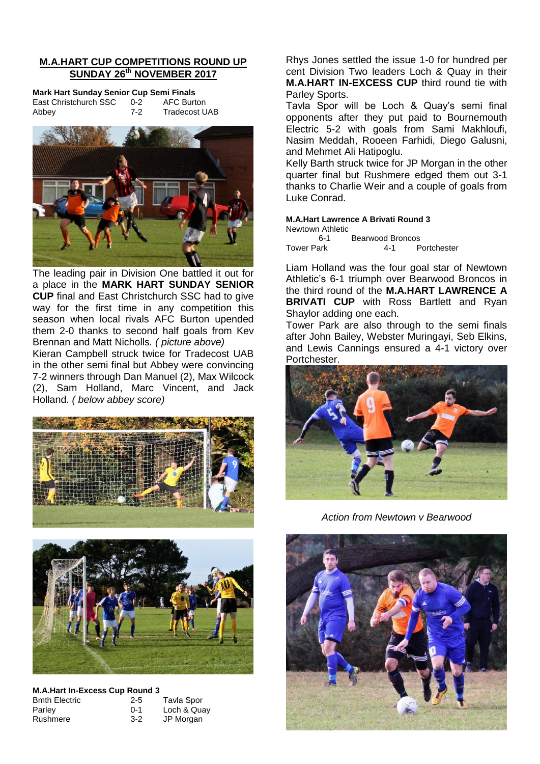# **M.A.HART CUP COMPETITIONS ROUND UP SUNDAY 26th NOVEMBER 2017**

**Mark Hart Sunday Senior Cup Semi Finals** East Christchurch SSC 0-2 AFC Burton Abbey 7-2 Tradecost UAB



The leading pair in Division One battled it out for a place in the **MARK HART SUNDAY SENIOR CUP** final and East Christchurch SSC had to give way for the first time in any competition this season when local rivals AFC Burton upended them 2-0 thanks to second half goals from Kev Brennan and Matt Nicholls*. ( picture above)*

Kieran Campbell struck twice for Tradecost UAB in the other semi final but Abbey were convincing 7-2 winners through Dan Manuel (2), Max Wilcock (2), Sam Holland, Marc Vincent, and Jack Holland. *( below abbey score)*





# **M.A.Hart In-Excess Cup Round 3**

| <b>Bmth Electric</b> | $2 - 5$ | Tavla Spor  |
|----------------------|---------|-------------|
| Parley               | $0 - 1$ | Loch & Quay |
| Rushmere             | $3-2$   | JP Morgan   |

Rhys Jones settled the issue 1-0 for hundred per cent Division Two leaders Loch & Quay in their **M.A.HART IN-EXCESS CUP** third round tie with Parley Sports.

Tavla Spor will be Loch & Quay's semi final opponents after they put paid to Bournemouth Electric 5-2 with goals from Sami Makhloufi, Nasim Meddah, Rooeen Farhidi, Diego Galusni, and Mehmet Ali Hatipoglu.

Kelly Barth struck twice for JP Morgan in the other quarter final but Rushmere edged them out 3-1 thanks to Charlie Weir and a couple of goals from Luke Conrad.

# **M.A.Hart Lawrence A Brivati Round 3**

Newtown Athletic 6-1 Bearwood Broncos<br>ark 1-1 Portchester Tower Park 4-1

Liam Holland was the four goal star of Newtown Athletic's 6-1 triumph over Bearwood Broncos in the third round of the **M.A.HART LAWRENCE A BRIVATI CUP** with Ross Bartlett and Ryan Shaylor adding one each.

Tower Park are also through to the semi finals after John Bailey, Webster Muringayi, Seb Elkins, and Lewis Cannings ensured a 4-1 victory over Portchester.



*Action from Newtown v Bearwood*

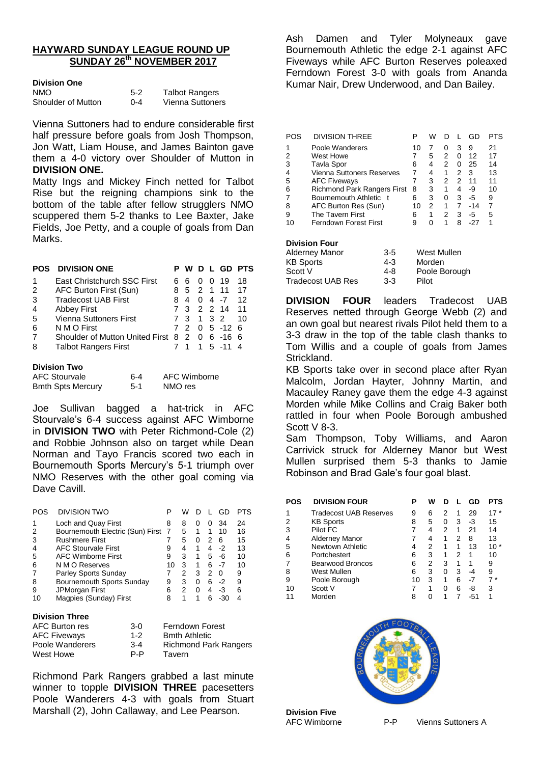# **HAYWARD SUNDAY LEAGUE ROUND UP SUNDAY 26th NOVEMBER 2017**

#### **Division One**

| <b>NMO</b>         | $5-2$   | <b>Talbot Rangers</b> |
|--------------------|---------|-----------------------|
| Shoulder of Mutton | $0 - 4$ | Vienna Suttoners      |

Vienna Suttoners had to endure considerable first half pressure before goals from Josh Thompson. Jon Watt, Liam House, and James Bainton gave them a 4-0 victory over Shoulder of Mutton in **DIVISION ONE.**

Matty Ings and Mickey Finch netted for Talbot Rise but the reigning champions sink to the bottom of the table after fellow strugglers NMO scuppered them 5-2 thanks to Lee Baxter, Jake Fields, Joe Petty, and a couple of goals from Dan Marks.

| <b>POS</b>          | <b>DIVISION ONE</b>                 |    |              |                |                | D L GD    | <b>PTS</b> |
|---------------------|-------------------------------------|----|--------------|----------------|----------------|-----------|------------|
| 1                   | East Christchurch SSC First         | 6  | 6            | $\Omega$       | $\Omega$       | 19        | 18         |
| 2                   | AFC Burton First (Sun)              | 8  | 5            | $\mathcal{P}$  | $\overline{1}$ | 11        | 17         |
| 3                   | <b>Tradecost UAB First</b>          | 8  | 4            | 0              | 4              | -7        | 12         |
| 4                   | <b>Abbey First</b>                  | 73 |              |                |                | 2 2 14    | 11         |
| 5                   | <b>Vienna Suttoners First</b>       |    | 3            | $\overline{1}$ | 3 2            |           | 10         |
| 6                   | N M O First                         |    | 2            | $\Omega$       |                | $5 - 126$ |            |
| 7                   | Shoulder of Mutton United First 8 2 |    |              | 0              |                | 6 - 16    | 6          |
| 8                   | <b>Talbot Rangers First</b>         |    | 1            | 1.             |                | $5 - 11$  | 4          |
| <b>Division Two</b> |                                     |    |              |                |                |           |            |
|                     | <b>AFC Stourvale</b><br>6-4         |    | AFC Wimborne |                |                |           |            |

Joe Sullivan bagged a hat-trick in AFC Stourvale's 6-4 success against AFC Wimborne in **DIVISION TWO** with Peter Richmond-Cole (2) and Robbie Johnson also on target while Dean Norman and Tayo Francis scored two each in Bournemouth Sports Mercury's 5-1 triumph over NMO Reserves with the other goal coming via Dave Cavill.

Bmth Spts Mercury 5-1 NMO res

| POS | DIVISION TWO                     |    | w |              |   | GD   | PTS |
|-----|----------------------------------|----|---|--------------|---|------|-----|
| 1   | Loch and Quay First              | 8  | 8 | $\mathbf{0}$ | 0 | 34   | 24  |
| 2   | Bournemouth Electric (Sun) First | 7  | 5 | 1            | 1 | 10   | 16  |
| 3   | <b>Rushmere First</b>            |    | 5 | $\mathbf{0}$ | 2 | 6    | 15  |
| 4   | <b>AFC Stourvale First</b>       | 9  | 4 |              | 4 | $-2$ | 13  |
| 5   | <b>AFC Wimborne First</b>        | 9  | 3 | 1            | 5 | -6   | 10  |
| 6   | N M O Reserves                   | 10 | з | 1            | 6 | -7   | 10  |
| 7   | Parley Sports Sunday             |    | 2 | 3            | 2 | O    | 9   |
| 8   | Bournemouth Sports Sunday        | 9  | 3 | 0            | 6 | -2   | 9   |
| 9   | JPMorgan First                   | 6  | 2 | O            | 4 | -3   | 6   |
| 10  | Magpies (Sunday) First           | 8  | 1 |              |   |      |     |
|     |                                  |    |   |              |   |      |     |

### **Division Three**

| AFC Burton res      | $3-0$   | Ferndown Forest              |
|---------------------|---------|------------------------------|
| <b>AFC Fiveways</b> | $1 - 2$ | <b>Bmth Athletic</b>         |
| Poole Wanderers     | $3 - 4$ | <b>Richmond Park Rangers</b> |
| West Howe           | P-P     | Tavern                       |

Richmond Park Rangers grabbed a last minute winner to topple **DIVISION THREE** pacesetters Poole Wanderers 4-3 with goals from Stuart Marshall (2), John Callaway, and Lee Pearson.

Ash Damen and Tyler Molyneaux gave Bournemouth Athletic the edge 2-1 against AFC Fiveways while AFC Burton Reserves poleaxed Ferndown Forest 3-0 with goals from Ananda Kumar Nair, Drew Underwood, and Dan Bailey.

| POS | <b>DIVISION THREE</b>            | P  | w |   |   | GD    | PTS |
|-----|----------------------------------|----|---|---|---|-------|-----|
|     | Poole Wanderers                  | 10 |   |   | з | 9     | 21  |
|     | West Howe                        |    | 5 | 2 | O | 12    | 17  |
| 3   | <b>Tavla Spor</b>                | 6  | 4 | 2 | 0 | 25    | 14  |
| 4   | <b>Vienna Suttoners Reserves</b> | 7  | 4 |   | 2 | З     | 13  |
| 5   | <b>AFC Fiveways</b>              |    | 3 | 2 | 2 | 11    | 11  |
| 6   | Richmond Park Rangers First      | 8  | 3 |   | 4 | -9    | 10  |
|     | Bournemouth Athletic t           | 6  | 3 | O | з | -5    | 9   |
| 8   | AFC Burton Res (Sun)             | 10 | 2 |   | 7 | $-14$ | 7   |
| 9   | The Tavern First                 | 6  |   | 2 | 3 | -5    | 5   |
|     | Ferndown Forest First            | 9  |   |   |   |       |     |

#### **Division Four**

| Alderney Manor           | $3-5$   | West Mullen   |
|--------------------------|---------|---------------|
| <b>KB Sports</b>         | $4 - 3$ | Morden        |
| Scott V                  | 4-8     | Poole Borough |
| <b>Tradecost UAB Res</b> | $3-3$   | Pilot         |
|                          |         |               |

**DIVISION FOUR** leaders Tradecost UAB Reserves netted through George Webb (2) and an own goal but nearest rivals Pilot held them to a 3-3 draw in the top of the table clash thanks to Tom Willis and a couple of goals from James Strickland.

KB Sports take over in second place after Ryan Malcolm, Jordan Hayter, Johnny Martin, and Macauley Raney gave them the edge 4-3 against Morden while Mike Collins and Craig Baker both rattled in four when Poole Borough ambushed Scott V 8-3.

Sam Thompson, Toby Williams, and Aaron Carrivick struck for Alderney Manor but West Mullen surprised them 5-3 thanks to Jamie Robinson and Brad Gale's four goal blast.

| <b>POS</b> | <b>DIVISION FOUR</b>   | Р  | w |   |   | GD | PTS   |
|------------|------------------------|----|---|---|---|----|-------|
| 1          | Tradecost UAB Reserves | 9  | 6 | 2 |   | 29 | 17 *  |
| 2          | <b>KB Sports</b>       | 8  | 5 | 0 | 3 | -3 | 15    |
| 3          | Pilot FC               |    | 4 | 2 |   | 21 | 14    |
| 4          | <b>Alderney Manor</b>  |    | 4 |   | 2 | 8  | 13    |
| 5          | Newtown Athletic       | 4  | 2 |   |   | 13 | $10*$ |
| 6          | Portchestert           | 6  | 3 |   | 2 |    | 10    |
| 7          | Bearwood Broncos       | 6  | 2 | 3 |   |    | 9     |
| 8          | West Mullen            | 6  | 3 | 0 | 3 | -4 | 9     |
| 9          | Poole Borough          | 10 | 3 | 1 | 6 |    | 7*    |
| 10         | Scott V                |    | 1 | U | 6 | -8 | 3     |
|            | Morden                 | 8  |   | 1 |   |    | 1     |



**Division Five**

AFC Wimborne P-P Vienns Suttoners A